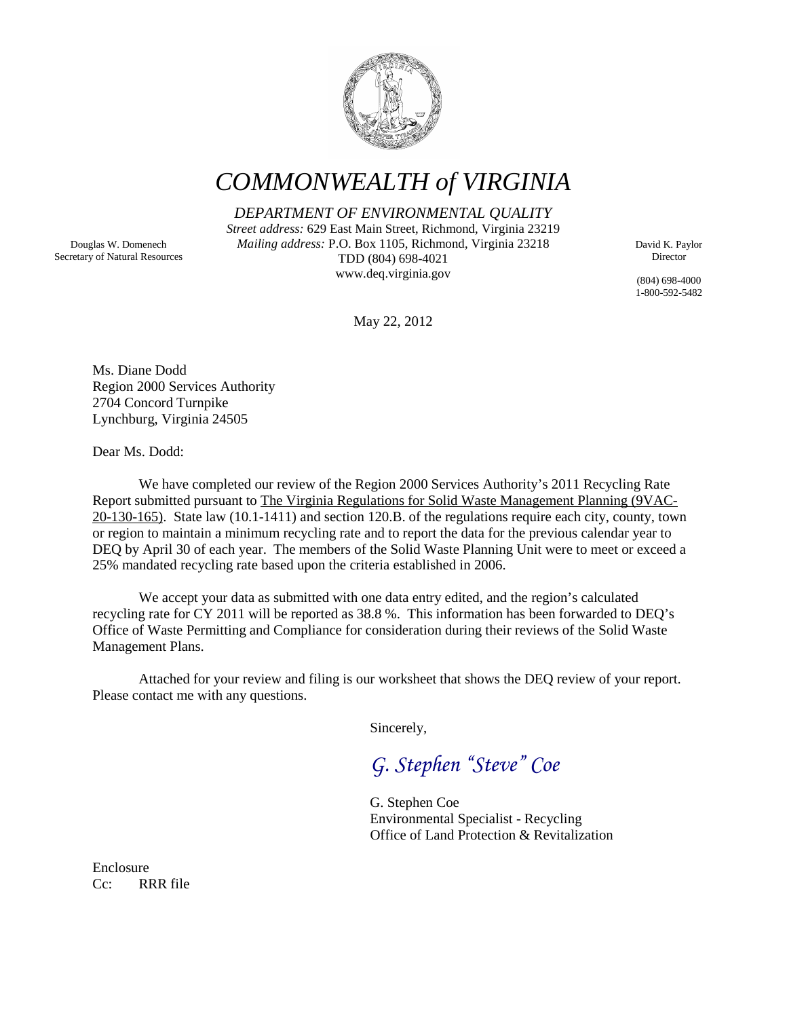

*COMMONWEALTH of VIRGINIA*

*DEPARTMENT OF ENVIRONMENTAL QUALITY*

*Street address:* 629 East Main Street, Richmond, Virginia 23219 *Mailing address:* P.O. Box 1105, Richmond, Virginia 23218 TDD (804) 698-4021 www.deq.virginia.gov

David K. Paylor Director

(804) 698-4000 1-800-592-5482

May 22, 2012

Ms. Diane Dodd Region 2000 Services Authority 2704 Concord Turnpike Lynchburg, Virginia 24505

Dear Ms. Dodd:

We have completed our review of the Region 2000 Services Authority's 2011 Recycling Rate Report submitted pursuant to The Virginia Regulations for Solid Waste Management Planning (9VAC-20-130-165). State law (10.1-1411) and section 120.B. of the regulations require each city, county, town or region to maintain a minimum recycling rate and to report the data for the previous calendar year to DEQ by April 30 of each year. The members of the Solid Waste Planning Unit were to meet or exceed a 25% mandated recycling rate based upon the criteria established in 2006.

We accept your data as submitted with one data entry edited, and the region's calculated recycling rate for CY 2011 will be reported as 38.8 %. This information has been forwarded to DEQ's Office of Waste Permitting and Compliance for consideration during their reviews of the Solid Waste Management Plans.

Attached for your review and filing is our worksheet that shows the DEQ review of your report. Please contact me with any questions.

Sincerely,

*G. Stephen "Steve" Coe*

G. Stephen Coe Environmental Specialist - Recycling Office of Land Protection & Revitalization

Enclosure Cc: RRR file

Douglas W. Domenech Secretary of Natural Resources